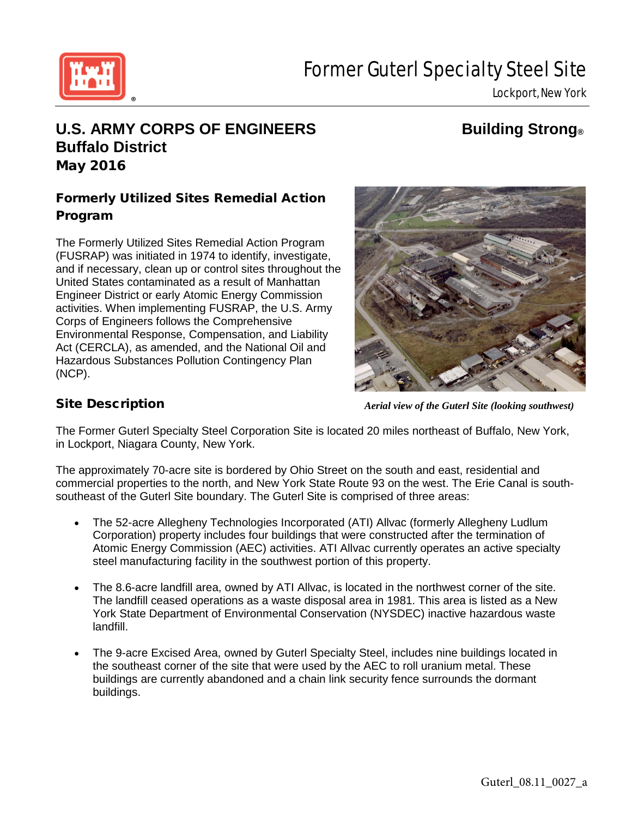

# Former Guterl Specialty Steel Site

Lockport, New York

# **U.S. ARMY CORPS OF ENGINEERS Building Strong® Buffalo District** May 2016

# Formerly Utilized Sites Remedial Action Program

The Formerly Utilized Sites Remedial Action Program (FUSRAP) was initiated in 1974 to identify, investigate, and if necessary, clean up or control sites throughout the United States contaminated as a result of Manhattan Engineer District or early Atomic Energy Commission activities. When implementing FUSRAP, the U.S. Army Corps of Engineers follows the Comprehensive Environmental Response, Compensation, and Liability Act (CERCLA), as amended, and the National Oil and Hazardous Substances Pollution Contingency Plan (NCP).



# Site Description

*Aerial view of the Guterl Site (looking southwest)*

The Former Guterl Specialty Steel Corporation Site is located 20 miles northeast of Buffalo, New York, in Lockport, Niagara County, New York.

The approximately 70-acre site is bordered by Ohio Street on the south and east, residential and commercial properties to the north, and New York State Route 93 on the west. The Erie Canal is southsoutheast of the Guterl Site boundary. The Guterl Site is comprised of three areas:

- The 52-acre Allegheny Technologies Incorporated (ATI) Allvac (formerly Allegheny Ludlum Corporation) property includes four buildings that were constructed after the termination of Atomic Energy Commission (AEC) activities. ATI Allvac currently operates an active specialty steel manufacturing facility in the southwest portion of this property.
- The 8.6-acre landfill area, owned by ATI Allvac, is located in the northwest corner of the site. The landfill ceased operations as a waste disposal area in 1981. This area is listed as a New York State Department of Environmental Conservation (NYSDEC) inactive hazardous waste landfill.
- The 9-acre Excised Area, owned by Guterl Specialty Steel, includes nine buildings located in the southeast corner of the site that were used by the AEC to roll uranium metal. These buildings are currently abandoned and a chain link security fence surrounds the dormant buildings.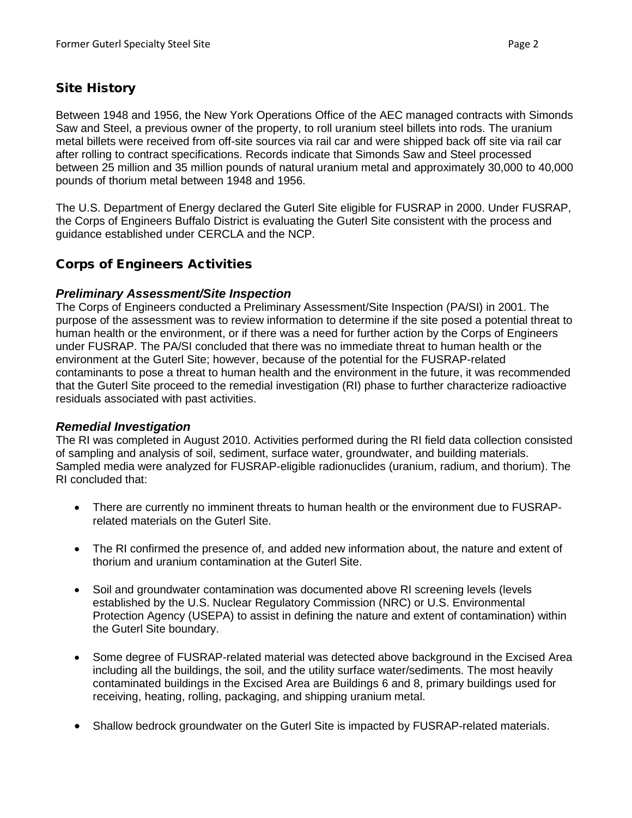# Site History

Between 1948 and 1956, the New York Operations Office of the AEC managed contracts with Simonds Saw and Steel, a previous owner of the property, to roll uranium steel billets into rods. The uranium metal billets were received from off-site sources via rail car and were shipped back off site via rail car after rolling to contract specifications. Records indicate that Simonds Saw and Steel processed between 25 million and 35 million pounds of natural uranium metal and approximately 30,000 to 40,000 pounds of thorium metal between 1948 and 1956.

The U.S. Department of Energy declared the Guterl Site eligible for FUSRAP in 2000. Under FUSRAP, the Corps of Engineers Buffalo District is evaluating the Guterl Site consistent with the process and guidance established under CERCLA and the NCP.

## Corps of Engineers Activities

### *Preliminary Assessment/Site Inspection*

The Corps of Engineers conducted a Preliminary Assessment/Site Inspection (PA/SI) in 2001. The purpose of the assessment was to review information to determine if the site posed a potential threat to human health or the environment, or if there was a need for further action by the Corps of Engineers under FUSRAP. The PA/SI concluded that there was no immediate threat to human health or the environment at the Guterl Site; however, because of the potential for the FUSRAP-related contaminants to pose a threat to human health and the environment in the future, it was recommended that the Guterl Site proceed to the remedial investigation (RI) phase to further characterize radioactive residuals associated with past activities.

### *Remedial Investigation*

The RI was completed in August 2010. Activities performed during the RI field data collection consisted of sampling and analysis of soil, sediment, surface water, groundwater, and building materials. Sampled media were analyzed for FUSRAP-eligible radionuclides (uranium, radium, and thorium). The RI concluded that:

- There are currently no imminent threats to human health or the environment due to FUSRAPrelated materials on the Guterl Site.
- The RI confirmed the presence of, and added new information about, the nature and extent of thorium and uranium contamination at the Guterl Site.
- Soil and groundwater contamination was documented above RI screening levels (levels established by the U.S. Nuclear Regulatory Commission (NRC) or U.S. Environmental Protection Agency (USEPA) to assist in defining the nature and extent of contamination) within the Guterl Site boundary.
- Some degree of FUSRAP-related material was detected above background in the Excised Area including all the buildings, the soil, and the utility surface water/sediments. The most heavily contaminated buildings in the Excised Area are Buildings 6 and 8, primary buildings used for receiving, heating, rolling, packaging, and shipping uranium metal.
- Shallow bedrock groundwater on the Guterl Site is impacted by FUSRAP-related materials.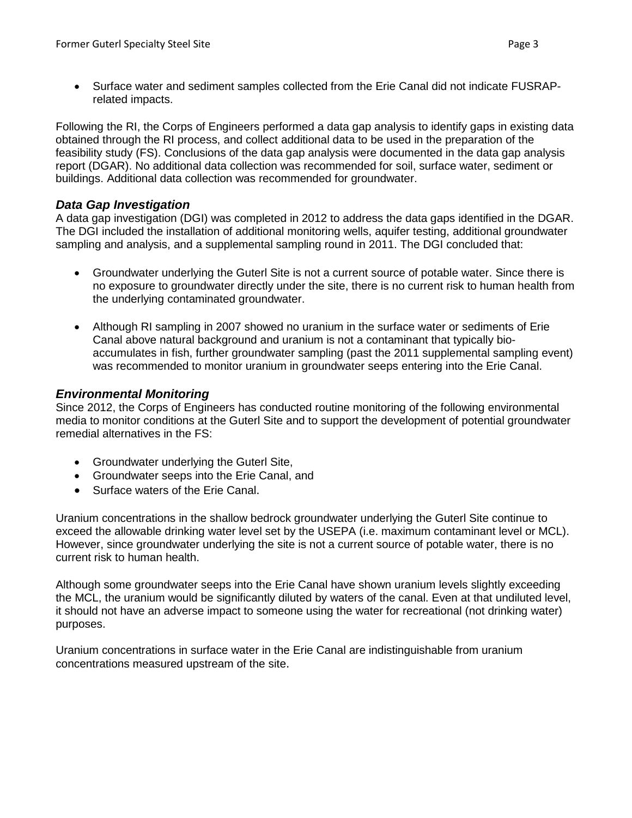• Surface water and sediment samples collected from the Erie Canal did not indicate FUSRAPrelated impacts.

Following the RI, the Corps of Engineers performed a data gap analysis to identify gaps in existing data obtained through the RI process, and collect additional data to be used in the preparation of the feasibility study (FS). Conclusions of the data gap analysis were documented in the data gap analysis report (DGAR). No additional data collection was recommended for soil, surface water, sediment or buildings. Additional data collection was recommended for groundwater.

#### *Data Gap Investigation*

A data gap investigation (DGI) was completed in 2012 to address the data gaps identified in the DGAR. The DGI included the installation of additional monitoring wells, aquifer testing, additional groundwater sampling and analysis, and a supplemental sampling round in 2011. The DGI concluded that:

- Groundwater underlying the Guterl Site is not a current source of potable water. Since there is no exposure to groundwater directly under the site, there is no current risk to human health from the underlying contaminated groundwater.
- Although RI sampling in 2007 showed no uranium in the surface water or sediments of Erie Canal above natural background and uranium is not a contaminant that typically bioaccumulates in fish, further groundwater sampling (past the 2011 supplemental sampling event) was recommended to monitor uranium in groundwater seeps entering into the Erie Canal.

### *Environmental Monitoring*

Since 2012, the Corps of Engineers has conducted routine monitoring of the following environmental media to monitor conditions at the Guterl Site and to support the development of potential groundwater remedial alternatives in the FS:

- Groundwater underlying the Guterl Site,
- Groundwater seeps into the Erie Canal, and
- Surface waters of the Erie Canal.

Uranium concentrations in the shallow bedrock groundwater underlying the Guterl Site continue to exceed the allowable drinking water level set by the USEPA (i.e. maximum contaminant level or MCL). However, since groundwater underlying the site is not a current source of potable water, there is no current risk to human health.

Although some groundwater seeps into the Erie Canal have shown uranium levels slightly exceeding the MCL, the uranium would be significantly diluted by waters of the canal. Even at that undiluted level, it should not have an adverse impact to someone using the water for recreational (not drinking water) purposes.

Uranium concentrations in surface water in the Erie Canal are indistinguishable from uranium concentrations measured upstream of the site.